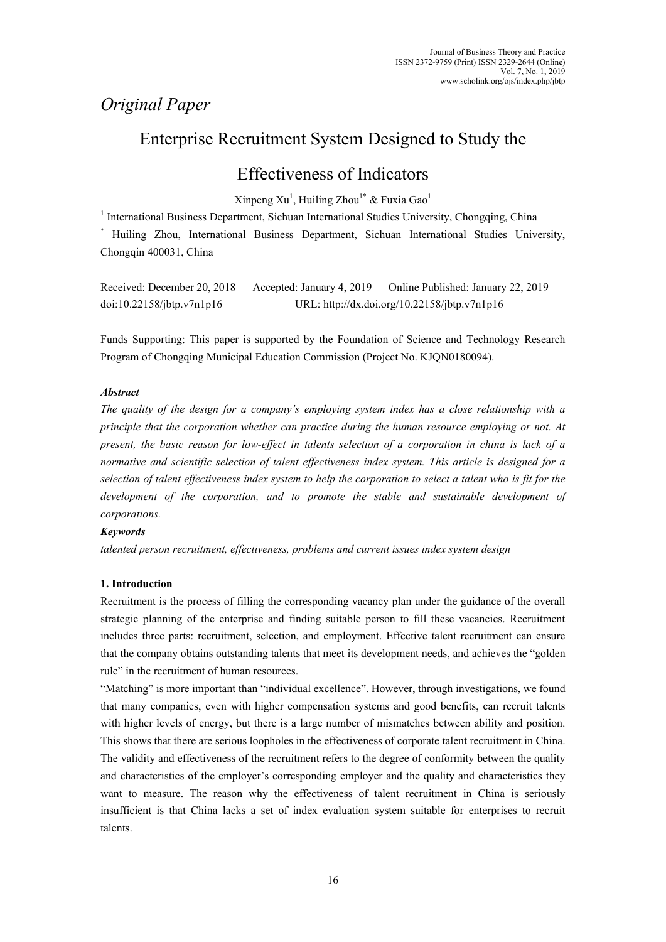# *Original Paper*

# Enterprise Recruitment System Designed to Study the

# Effectiveness of Indicators

 $X$ inpeng  $Xu<sup>1</sup>$ , Huiling Zhou<sup>1\*</sup> & Fuxia Gao<sup>1</sup>

<sup>1</sup> International Business Department, Sichuan International Studies University, Chongqing, China \* Huiling Zhou, International Business Department, Sichuan International Studies University, Chongqin 400031, China

| Received: December 20, 2018 | Accepted: January 4, 2019 | Online Published: January 22, 2019           |
|-----------------------------|---------------------------|----------------------------------------------|
| doi:10.22158/jbtp.v7n1p16   |                           | URL: http://dx.doi.org/10.22158/jbtp.v7n1p16 |

Funds Supporting: This paper is supported by the Foundation of Science and Technology Research Program of Chongqing Municipal Education Commission (Project No. KJQN0180094).

## *Abstract*

*The quality of the design for a company's employing system index has a close relationship with a principle that the corporation whether can practice during the human resource employing or not. At present, the basic reason for low-effect in talents selection of a corporation in china is lack of a normative and scientific selection of talent effectiveness index system. This article is designed for a selection of talent effectiveness index system to help the corporation to select a talent who is fit for the*  development of the corporation, and to promote the stable and sustainable development of *corporations.* 

## *Keywords*

*talented person recruitment, effectiveness, problems and current issues index system design* 

## **1. Introduction**

Recruitment is the process of filling the corresponding vacancy plan under the guidance of the overall strategic planning of the enterprise and finding suitable person to fill these vacancies. Recruitment includes three parts: recruitment, selection, and employment. Effective talent recruitment can ensure that the company obtains outstanding talents that meet its development needs, and achieves the "golden rule" in the recruitment of human resources.

"Matching" is more important than "individual excellence". However, through investigations, we found that many companies, even with higher compensation systems and good benefits, can recruit talents with higher levels of energy, but there is a large number of mismatches between ability and position. This shows that there are serious loopholes in the effectiveness of corporate talent recruitment in China. The validity and effectiveness of the recruitment refers to the degree of conformity between the quality and characteristics of the employer's corresponding employer and the quality and characteristics they want to measure. The reason why the effectiveness of talent recruitment in China is seriously insufficient is that China lacks a set of index evaluation system suitable for enterprises to recruit talents.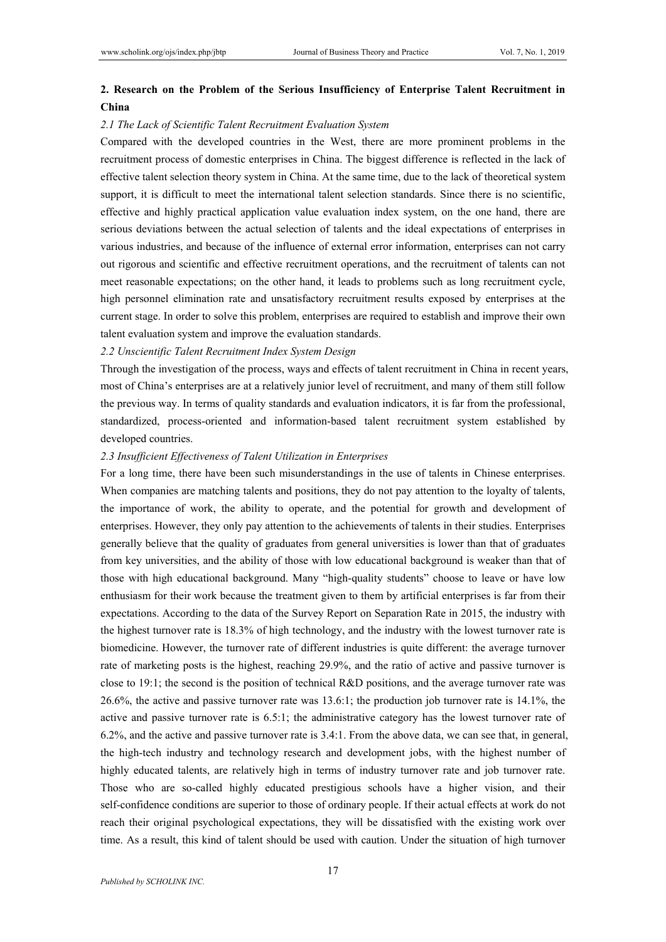# **2. Research on the Problem of the Serious Insufficiency of Enterprise Talent Recruitment in China**

#### *2.1 The Lack of Scientific Talent Recruitment Evaluation System*

Compared with the developed countries in the West, there are more prominent problems in the recruitment process of domestic enterprises in China. The biggest difference is reflected in the lack of effective talent selection theory system in China. At the same time, due to the lack of theoretical system support, it is difficult to meet the international talent selection standards. Since there is no scientific, effective and highly practical application value evaluation index system, on the one hand, there are serious deviations between the actual selection of talents and the ideal expectations of enterprises in various industries, and because of the influence of external error information, enterprises can not carry out rigorous and scientific and effective recruitment operations, and the recruitment of talents can not meet reasonable expectations; on the other hand, it leads to problems such as long recruitment cycle, high personnel elimination rate and unsatisfactory recruitment results exposed by enterprises at the current stage. In order to solve this problem, enterprises are required to establish and improve their own talent evaluation system and improve the evaluation standards.

#### *2.2 Unscientific Talent Recruitment Index System Design*

Through the investigation of the process, ways and effects of talent recruitment in China in recent years, most of China's enterprises are at a relatively junior level of recruitment, and many of them still follow the previous way. In terms of quality standards and evaluation indicators, it is far from the professional, standardized, process-oriented and information-based talent recruitment system established by developed countries.

#### *2.3 Insufficient Effectiveness of Talent Utilization in Enterprises*

For a long time, there have been such misunderstandings in the use of talents in Chinese enterprises. When companies are matching talents and positions, they do not pay attention to the loyalty of talents, the importance of work, the ability to operate, and the potential for growth and development of enterprises. However, they only pay attention to the achievements of talents in their studies. Enterprises generally believe that the quality of graduates from general universities is lower than that of graduates from key universities, and the ability of those with low educational background is weaker than that of those with high educational background. Many "high-quality students" choose to leave or have low enthusiasm for their work because the treatment given to them by artificial enterprises is far from their expectations. According to the data of the Survey Report on Separation Rate in 2015, the industry with the highest turnover rate is 18.3% of high technology, and the industry with the lowest turnover rate is biomedicine. However, the turnover rate of different industries is quite different: the average turnover rate of marketing posts is the highest, reaching 29.9%, and the ratio of active and passive turnover is close to 19:1; the second is the position of technical R&D positions, and the average turnover rate was 26.6%, the active and passive turnover rate was 13.6:1; the production job turnover rate is 14.1%, the active and passive turnover rate is 6.5:1; the administrative category has the lowest turnover rate of 6.2%, and the active and passive turnover rate is 3.4:1. From the above data, we can see that, in general, the high-tech industry and technology research and development jobs, with the highest number of highly educated talents, are relatively high in terms of industry turnover rate and job turnover rate. Those who are so-called highly educated prestigious schools have a higher vision, and their self-confidence conditions are superior to those of ordinary people. If their actual effects at work do not reach their original psychological expectations, they will be dissatisfied with the existing work over time. As a result, this kind of talent should be used with caution. Under the situation of high turnover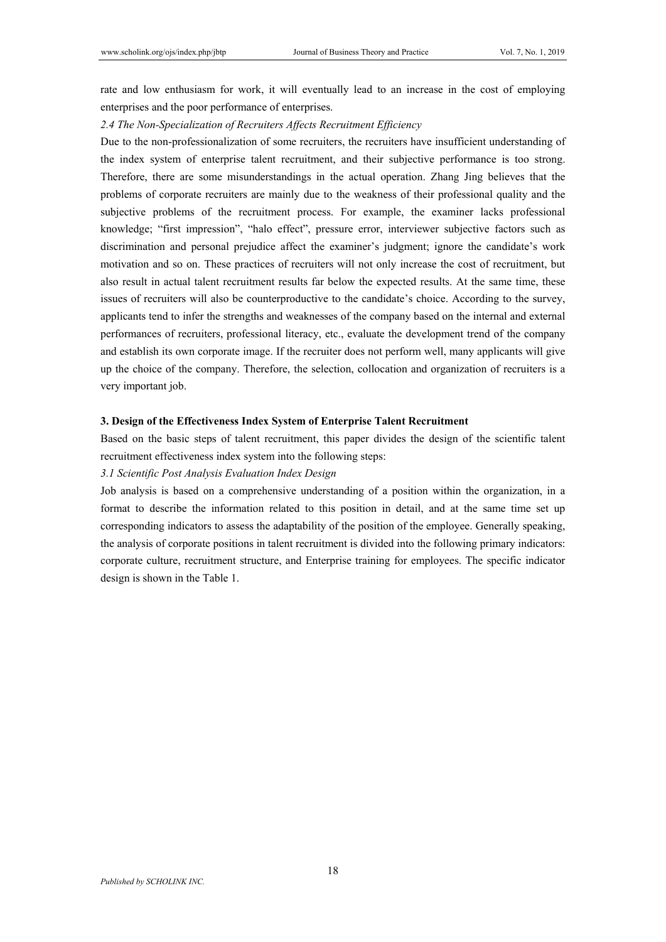rate and low enthusiasm for work, it will eventually lead to an increase in the cost of employing enterprises and the poor performance of enterprises.

### *2.4 The Non-Specialization of Recruiters Affects Recruitment Efficiency*

Due to the non-professionalization of some recruiters, the recruiters have insufficient understanding of the index system of enterprise talent recruitment, and their subjective performance is too strong. Therefore, there are some misunderstandings in the actual operation. Zhang Jing believes that the problems of corporate recruiters are mainly due to the weakness of their professional quality and the subjective problems of the recruitment process. For example, the examiner lacks professional knowledge; "first impression", "halo effect", pressure error, interviewer subjective factors such as discrimination and personal prejudice affect the examiner's judgment; ignore the candidate's work motivation and so on. These practices of recruiters will not only increase the cost of recruitment, but also result in actual talent recruitment results far below the expected results. At the same time, these issues of recruiters will also be counterproductive to the candidate's choice. According to the survey, applicants tend to infer the strengths and weaknesses of the company based on the internal and external performances of recruiters, professional literacy, etc., evaluate the development trend of the company and establish its own corporate image. If the recruiter does not perform well, many applicants will give up the choice of the company. Therefore, the selection, collocation and organization of recruiters is a very important job.

### **3. Design of the Effectiveness Index System of Enterprise Talent Recruitment**

Based on the basic steps of talent recruitment, this paper divides the design of the scientific talent recruitment effectiveness index system into the following steps:

#### *3.1 Scientific Post Analysis Evaluation Index Design*

Job analysis is based on a comprehensive understanding of a position within the organization, in a format to describe the information related to this position in detail, and at the same time set up corresponding indicators to assess the adaptability of the position of the employee. Generally speaking, the analysis of corporate positions in talent recruitment is divided into the following primary indicators: corporate culture, recruitment structure, and Enterprise training for employees. The specific indicator design is shown in the Table 1.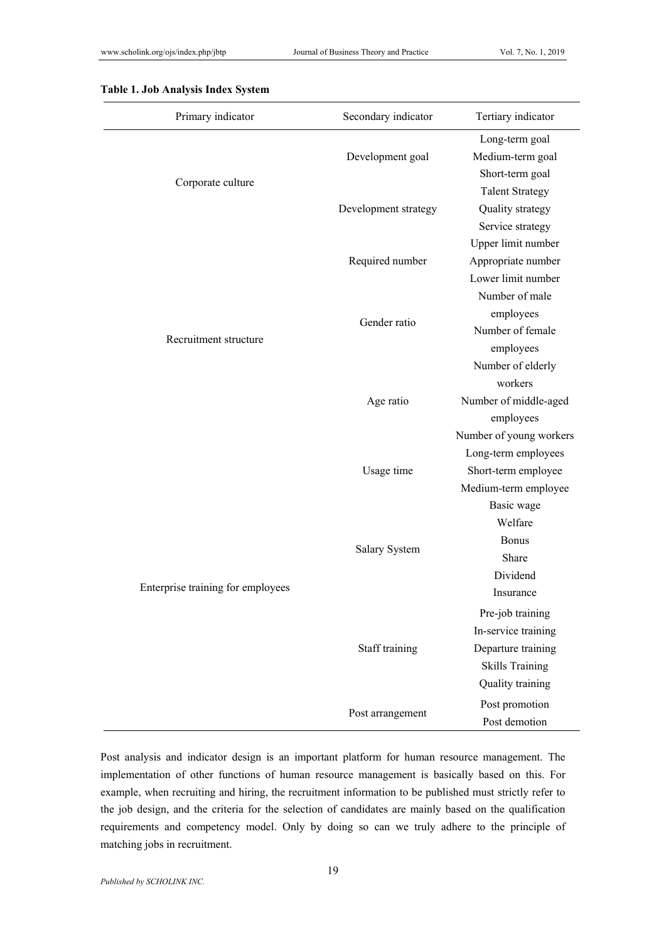| Primary indicator                 | Secondary indicator                                                                                                                                                                                                                  | Tertiary indicator      |
|-----------------------------------|--------------------------------------------------------------------------------------------------------------------------------------------------------------------------------------------------------------------------------------|-------------------------|
|                                   |                                                                                                                                                                                                                                      | Long-term goal          |
|                                   | Development goal<br>Corporate culture<br>Development strategy<br>Required number<br>Gender ratio<br>Recruitment structure<br>Age ratio<br>Usage time<br><b>Bonus</b><br>Salary System<br>Share<br>Staff training<br>Post arrangement | Medium-term goal        |
|                                   |                                                                                                                                                                                                                                      | Short-term goal         |
|                                   |                                                                                                                                                                                                                                      | <b>Talent Strategy</b>  |
|                                   |                                                                                                                                                                                                                                      | Quality strategy        |
|                                   | workers<br>Welfare                                                                                                                                                                                                                   | Service strategy        |
|                                   |                                                                                                                                                                                                                                      | Upper limit number      |
|                                   |                                                                                                                                                                                                                                      | Appropriate number      |
|                                   |                                                                                                                                                                                                                                      | Lower limit number      |
|                                   |                                                                                                                                                                                                                                      | Number of male          |
|                                   |                                                                                                                                                                                                                                      | employees               |
|                                   |                                                                                                                                                                                                                                      | Number of female        |
|                                   |                                                                                                                                                                                                                                      | employees               |
|                                   |                                                                                                                                                                                                                                      | Number of elderly       |
| Enterprise training for employees |                                                                                                                                                                                                                                      |                         |
|                                   |                                                                                                                                                                                                                                      | Number of middle-aged   |
|                                   |                                                                                                                                                                                                                                      | employees               |
|                                   |                                                                                                                                                                                                                                      | Number of young workers |
|                                   |                                                                                                                                                                                                                                      | Long-term employees     |
|                                   |                                                                                                                                                                                                                                      | Short-term employee     |
|                                   |                                                                                                                                                                                                                                      | Medium-term employee    |
|                                   | Basic wage<br>Dividend<br>Insurance<br>Pre-job training<br><b>Skills Training</b><br>Quality training<br>Post promotion<br>Post demotion                                                                                             |                         |
|                                   |                                                                                                                                                                                                                                      |                         |
|                                   |                                                                                                                                                                                                                                      |                         |
|                                   |                                                                                                                                                                                                                                      |                         |
|                                   |                                                                                                                                                                                                                                      |                         |
|                                   |                                                                                                                                                                                                                                      |                         |
|                                   |                                                                                                                                                                                                                                      |                         |
|                                   |                                                                                                                                                                                                                                      | In-service training     |
|                                   |                                                                                                                                                                                                                                      | Departure training      |
|                                   |                                                                                                                                                                                                                                      |                         |
|                                   |                                                                                                                                                                                                                                      |                         |
|                                   |                                                                                                                                                                                                                                      |                         |
|                                   |                                                                                                                                                                                                                                      |                         |

## **Table 1. Job Analysis Index System**

Post analysis and indicator design is an important platform for human resource management. The implementation of other functions of human resource management is basically based on this. For example, when recruiting and hiring, the recruitment information to be published must strictly refer to the job design, and the criteria for the selection of candidates are mainly based on the qualification requirements and competency model. Only by doing so can we truly adhere to the principle of matching jobs in recruitment.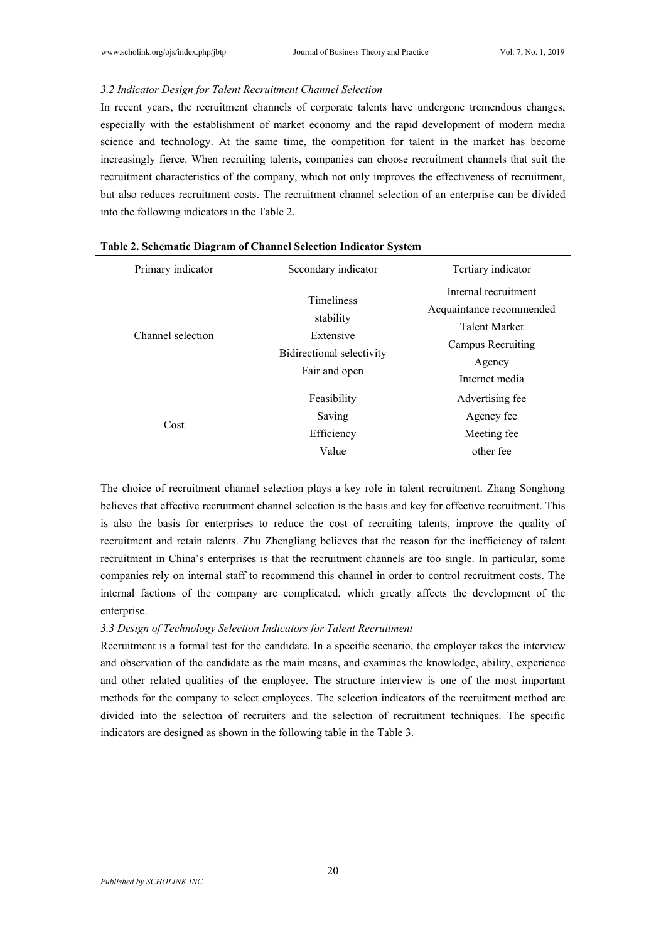#### *3.2 Indicator Design for Talent Recruitment Channel Selection*

In recent years, the recruitment channels of corporate talents have undergone tremendous changes, especially with the establishment of market economy and the rapid development of modern media science and technology. At the same time, the competition for talent in the market has become increasingly fierce. When recruiting talents, companies can choose recruitment channels that suit the recruitment characteristics of the company, which not only improves the effectiveness of recruitment, but also reduces recruitment costs. The recruitment channel selection of an enterprise can be divided into the following indicators in the Table 2.

| Primary indicator | Secondary indicator                                                                       | Tertiary indicator                                                                                                        |  |  |
|-------------------|-------------------------------------------------------------------------------------------|---------------------------------------------------------------------------------------------------------------------------|--|--|
| Channel selection | <b>Timeliness</b><br>stability<br>Extensive<br>Bidirectional selectivity<br>Fair and open | Internal recruitment<br>Acquaintance recommended<br><b>Talent Market</b><br>Campus Recruiting<br>Agency<br>Internet media |  |  |
| Cost              | Feasibility<br>Saving<br>Efficiency<br>Value                                              | Advertising fee<br>Agency fee<br>Meeting fee.<br>other fee                                                                |  |  |

#### **Table 2. Schematic Diagram of Channel Selection Indicator System**

The choice of recruitment channel selection plays a key role in talent recruitment. Zhang Songhong believes that effective recruitment channel selection is the basis and key for effective recruitment. This is also the basis for enterprises to reduce the cost of recruiting talents, improve the quality of recruitment and retain talents. Zhu Zhengliang believes that the reason for the inefficiency of talent recruitment in China's enterprises is that the recruitment channels are too single. In particular, some companies rely on internal staff to recommend this channel in order to control recruitment costs. The internal factions of the company are complicated, which greatly affects the development of the enterprise.

### *3.3 Design of Technology Selection Indicators for Talent Recruitment*

Recruitment is a formal test for the candidate. In a specific scenario, the employer takes the interview and observation of the candidate as the main means, and examines the knowledge, ability, experience and other related qualities of the employee. The structure interview is one of the most important methods for the company to select employees. The selection indicators of the recruitment method are divided into the selection of recruiters and the selection of recruitment techniques. The specific indicators are designed as shown in the following table in the Table 3.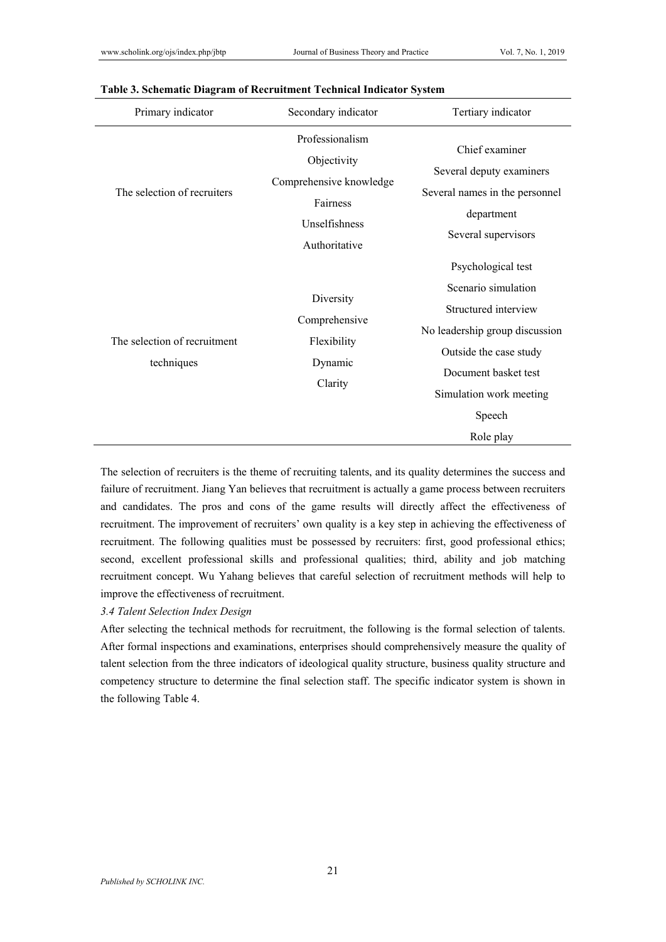| Primary indicator                          | Secondary indicator                                                                                     | Tertiary indicator                                                                                                                                                                                      |  |  |
|--------------------------------------------|---------------------------------------------------------------------------------------------------------|---------------------------------------------------------------------------------------------------------------------------------------------------------------------------------------------------------|--|--|
| The selection of recruiters                | Professionalism<br>Objectivity<br>Comprehensive knowledge<br>Fairness<br>Unselfishness<br>Authoritative | Chief examiner<br>Several deputy examiners<br>Several names in the personnel<br>department<br>Several supervisors                                                                                       |  |  |
| The selection of recruitment<br>techniques | Diversity<br>Comprehensive<br>Flexibility<br>Dynamic<br>Clarity                                         | Psychological test<br>Scenario simulation<br>Structured interview<br>No leadership group discussion<br>Outside the case study<br>Document basket test<br>Simulation work meeting<br>Speech<br>Role play |  |  |

#### **Table 3. Schematic Diagram of Recruitment Technical Indicator System**

The selection of recruiters is the theme of recruiting talents, and its quality determines the success and failure of recruitment. Jiang Yan believes that recruitment is actually a game process between recruiters and candidates. The pros and cons of the game results will directly affect the effectiveness of recruitment. The improvement of recruiters' own quality is a key step in achieving the effectiveness of recruitment. The following qualities must be possessed by recruiters: first, good professional ethics; second, excellent professional skills and professional qualities; third, ability and job matching recruitment concept. Wu Yahang believes that careful selection of recruitment methods will help to improve the effectiveness of recruitment.

## *3.4 Talent Selection Index Design*

After selecting the technical methods for recruitment, the following is the formal selection of talents. After formal inspections and examinations, enterprises should comprehensively measure the quality of talent selection from the three indicators of ideological quality structure, business quality structure and competency structure to determine the final selection staff. The specific indicator system is shown in the following Table 4.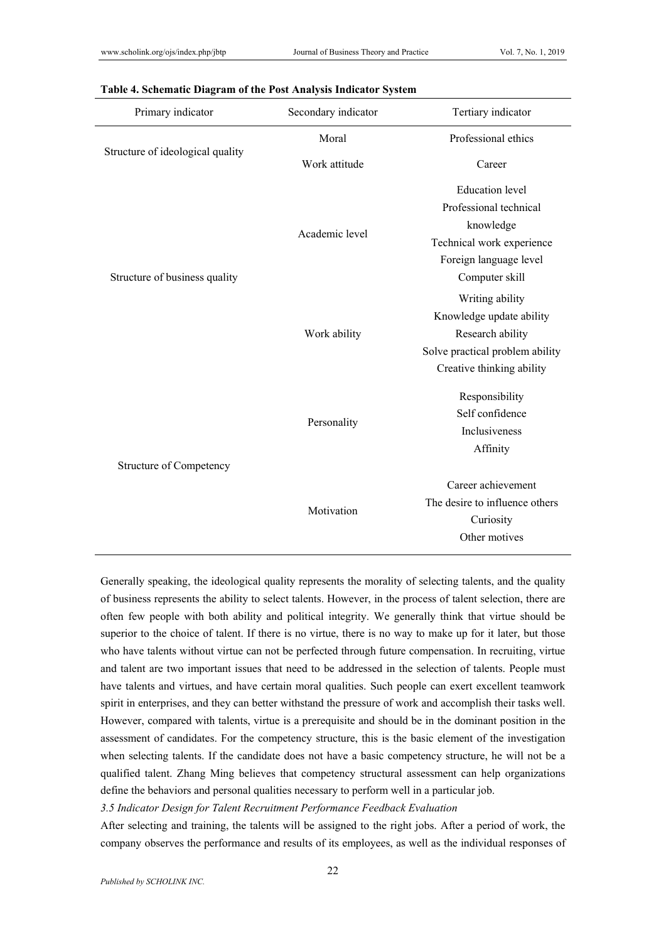| Primary indicator                | Secondary indicator | Tertiary indicator              |  |
|----------------------------------|---------------------|---------------------------------|--|
|                                  | Moral               | Professional ethics             |  |
| Structure of ideological quality | Work attitude       | Career                          |  |
|                                  |                     | <b>Education</b> level          |  |
|                                  |                     | Professional technical          |  |
|                                  |                     | knowledge                       |  |
|                                  | Academic level      | Technical work experience       |  |
|                                  |                     | Foreign language level          |  |
| Structure of business quality    |                     | Computer skill                  |  |
|                                  |                     | Writing ability                 |  |
|                                  | Work ability        | Knowledge update ability        |  |
|                                  |                     | Research ability                |  |
|                                  |                     | Solve practical problem ability |  |
|                                  |                     | Creative thinking ability       |  |
|                                  |                     | Responsibility                  |  |
|                                  |                     | Self confidence                 |  |
|                                  | Personality         | Inclusiveness                   |  |
|                                  |                     | Affinity                        |  |
| Structure of Competency          |                     |                                 |  |
|                                  |                     | Career achievement              |  |
|                                  | Motivation          | The desire to influence others  |  |
|                                  |                     | Curiosity                       |  |
|                                  |                     | Other motives                   |  |

## **Table 4. Schematic Diagram of the Post Analysis Indicator System**

Generally speaking, the ideological quality represents the morality of selecting talents, and the quality of business represents the ability to select talents. However, in the process of talent selection, there are often few people with both ability and political integrity. We generally think that virtue should be superior to the choice of talent. If there is no virtue, there is no way to make up for it later, but those who have talents without virtue can not be perfected through future compensation. In recruiting, virtue and talent are two important issues that need to be addressed in the selection of talents. People must have talents and virtues, and have certain moral qualities. Such people can exert excellent teamwork spirit in enterprises, and they can better withstand the pressure of work and accomplish their tasks well. However, compared with talents, virtue is a prerequisite and should be in the dominant position in the assessment of candidates. For the competency structure, this is the basic element of the investigation when selecting talents. If the candidate does not have a basic competency structure, he will not be a qualified talent. Zhang Ming believes that competency structural assessment can help organizations define the behaviors and personal qualities necessary to perform well in a particular job.

*3.5 Indicator Design for Talent Recruitment Performance Feedback Evaluation*

After selecting and training, the talents will be assigned to the right jobs. After a period of work, the company observes the performance and results of its employees, as well as the individual responses of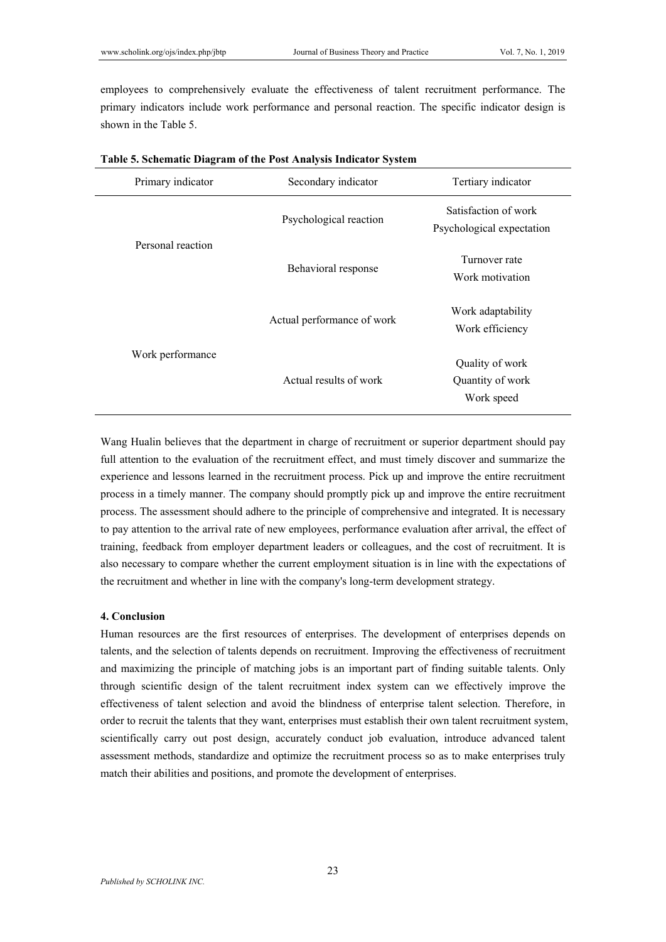employees to comprehensively evaluate the effectiveness of talent recruitment performance. The primary indicators include work performance and personal reaction. The specific indicator design is shown in the Table 5.

| Primary indicator | Secondary indicator        | Tertiary indicator                                |  |  |
|-------------------|----------------------------|---------------------------------------------------|--|--|
| Personal reaction | Psychological reaction     | Satisfaction of work<br>Psychological expectation |  |  |
|                   | Behavioral response        | Turnover rate<br>Work motivation                  |  |  |
| Work performance  | Actual performance of work | Work adaptability<br>Work efficiency              |  |  |
|                   | Actual results of work     | Quality of work<br>Quantity of work<br>Work speed |  |  |

| Table 5. Schematic Diagram of the Post Analysis Indicator System |  |  |  |
|------------------------------------------------------------------|--|--|--|
|                                                                  |  |  |  |

Wang Hualin believes that the department in charge of recruitment or superior department should pay full attention to the evaluation of the recruitment effect, and must timely discover and summarize the experience and lessons learned in the recruitment process. Pick up and improve the entire recruitment process in a timely manner. The company should promptly pick up and improve the entire recruitment process. The assessment should adhere to the principle of comprehensive and integrated. It is necessary to pay attention to the arrival rate of new employees, performance evaluation after arrival, the effect of training, feedback from employer department leaders or colleagues, and the cost of recruitment. It is also necessary to compare whether the current employment situation is in line with the expectations of the recruitment and whether in line with the company's long-term development strategy.

## **4. Conclusion**

Human resources are the first resources of enterprises. The development of enterprises depends on talents, and the selection of talents depends on recruitment. Improving the effectiveness of recruitment and maximizing the principle of matching jobs is an important part of finding suitable talents. Only through scientific design of the talent recruitment index system can we effectively improve the effectiveness of talent selection and avoid the blindness of enterprise talent selection. Therefore, in order to recruit the talents that they want, enterprises must establish their own talent recruitment system, scientifically carry out post design, accurately conduct job evaluation, introduce advanced talent assessment methods, standardize and optimize the recruitment process so as to make enterprises truly match their abilities and positions, and promote the development of enterprises.